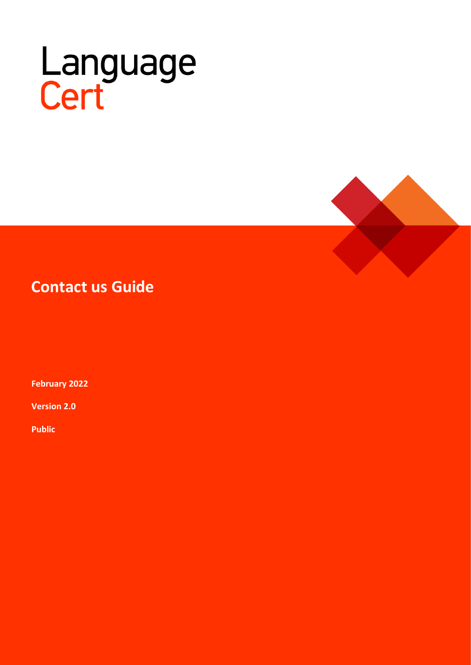## Language<br>Cert



## **Contact us Guide**

**February 2022**

**Version 2.0**

**Public**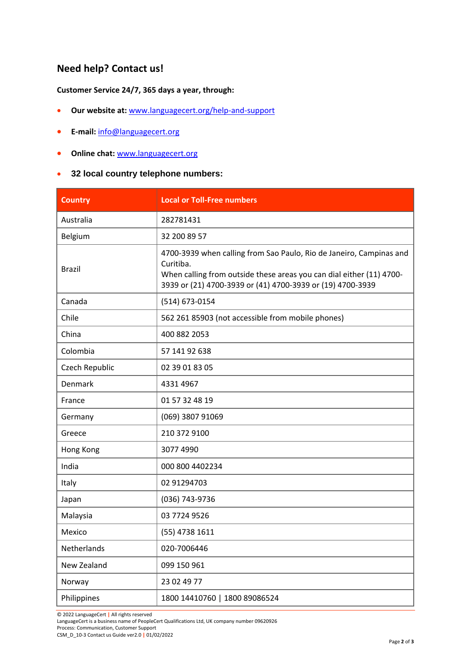## **Need help? Contact us!**

**Customer Service 24/7, 365 days a year, through:**

- **Our website at:** [www.languagecert.org/help-and-support](http://www.languagecert.org/help-and-support)
- **E-mail:** [info@languagecert.org](mailto:info@languagecert.org)
- **Online chat:** [www.languagecert.org](http://www.languagecert.org/)
- **32 local country telephone numbers:**

| <b>Country</b> | <b>Local or Toll-Free numbers</b>                                                                                                                                                                                      |
|----------------|------------------------------------------------------------------------------------------------------------------------------------------------------------------------------------------------------------------------|
| Australia      | 282781431                                                                                                                                                                                                              |
| Belgium        | 32 200 89 57                                                                                                                                                                                                           |
| <b>Brazil</b>  | 4700-3939 when calling from Sao Paulo, Rio de Janeiro, Campinas and<br>Curitiba.<br>When calling from outside these areas you can dial either (11) 4700-<br>3939 or (21) 4700-3939 or (41) 4700-3939 or (19) 4700-3939 |
| Canada         | (514) 673-0154                                                                                                                                                                                                         |
| Chile          | 562 261 85903 (not accessible from mobile phones)                                                                                                                                                                      |
| China          | 400 882 2053                                                                                                                                                                                                           |
| Colombia       | 57 141 92 638                                                                                                                                                                                                          |
| Czech Republic | 02 39 01 83 05                                                                                                                                                                                                         |
| Denmark        | 4331 4967                                                                                                                                                                                                              |
| France         | 01 57 32 48 19                                                                                                                                                                                                         |
| Germany        | (069) 3807 91069                                                                                                                                                                                                       |
| Greece         | 210 372 9100                                                                                                                                                                                                           |
| Hong Kong      | 3077 4990                                                                                                                                                                                                              |
| India          | 000 800 4402234                                                                                                                                                                                                        |
| Italy          | 02 91294703                                                                                                                                                                                                            |
| Japan          | (036) 743-9736                                                                                                                                                                                                         |
| Malaysia       | 03 7724 9526                                                                                                                                                                                                           |
| Mexico         | (55) 4738 1611                                                                                                                                                                                                         |
| Netherlands    | 020-7006446                                                                                                                                                                                                            |
| New Zealand    | 099 150 961                                                                                                                                                                                                            |
| Norway         | 23 02 49 77                                                                                                                                                                                                            |
| Philippines    | 1800 14410760   1800 89086524                                                                                                                                                                                          |

© 2022 LanguageCert **|** All rights reserved

LanguageCert is a business name of PeopleCert Qualifications Ltd, UK company number 09620926

Process: Communication, Customer Support

CSM\_D\_10-3 Contact us Guide ver2.0 **|** 01/02/2022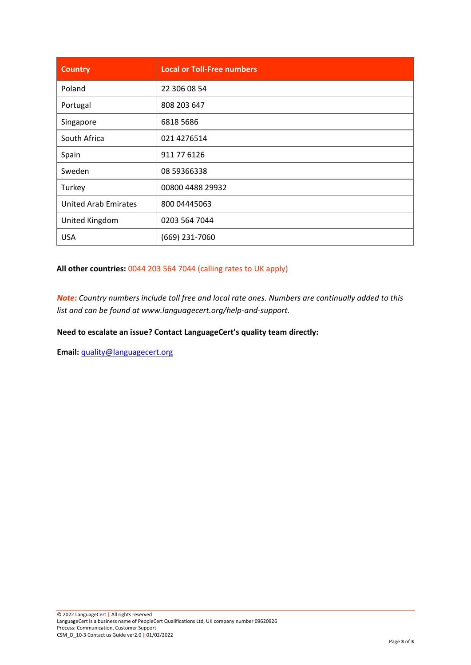| <b>Country</b>              | <b>Local or Toll-Free numbers</b> |
|-----------------------------|-----------------------------------|
| Poland                      | 22 306 08 54                      |
| Portugal                    | 808 203 647                       |
| Singapore                   | 6818 5686                         |
| South Africa                | 021 4276514                       |
| Spain                       | 911 77 6126                       |
| Sweden                      | 08 59366338                       |
| Turkey                      | 00800 4488 29932                  |
| <b>United Arab Emirates</b> | 800 04445063                      |
| United Kingdom              | 0203 564 7044                     |
| <b>USA</b>                  | (669) 231-7060                    |

**All other countries:** 0044 203 564 7044 (calling rates to UK apply)

*Note: Country numbers include toll free and local rate ones. Numbers are continually added to this list and can be found at www.languagecert.org/help-and-support.*

**Need to escalate an issue? Contact LanguageCert's quality team directly:**

**Email:** [quality@languagecert.org](mailto:quality@languagecert.org)